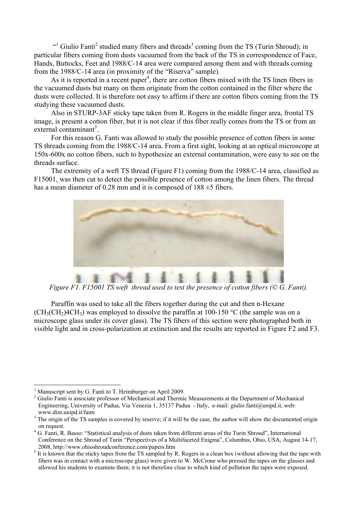$\cdot$ <sup>1</sup> Giulio Fanti<sup>2</sup> studied many fibers and threads<sup>3</sup> coming from the TS (Turin Shroud); in particular fibers coming from dusts vacuumed from the back of the TS in correspondence of Face, Hands, Buttocks, Feet and 1988/C-14 area were compared among them and with threads coming from the 1988/C-14 area (in proximity of the "Riserva" sample).

As it is reported in a recent paper<sup>4</sup>, there are cotton fibers mixed with the TS linen fibers in the vacuumed dusts but many on them originate from the cotton contained in the filter where the dusts were collected. It is therefore not easy to affirm if there are cotton fibers coming from the TS studying these vacuumed dusts.

Also in STURP-3AF sticky tape taken from R. Rogers in the middle finger area, frontal TS image, is present a cotton fiber, but it is not clear if this fiber really comes from the TS or from an  $ext{ernal contamin}^5$ .

For this reason G. Fanti was allowed to study the possible presence of cotton fibers in some TS threads coming from the 1988/C-14 area. From a first sight, looking at an optical microscope at 150x-600x no cotton fibers, such to hypothesize an external contamination, were easy to see on the threads surface.

The extremity of a weft TS thread (Figure F1) coming from the 1988/C-14 area, classified as F15001, was then cut to detect the possible presence of cotton among the linen fibers. The thread has a mean diameter of 0.28 mm and it is composed of  $188 \pm 5$  fibers.



*Figure F1. F15001 TS weft thread used to test the presence of cotton fibers (© G. Fanti).* 

Paraffin was used to take all the fibers together during the cut and then n-Hexane  $(CH<sub>3</sub>(CH<sub>2</sub>)4CH<sub>3</sub>)$  was employed to dissolve the paraffin at 100-150 °C (the sample was on a microscope glass under its cover glass). The TS fibers of this section were photographed both in visible light and in cross-polarization at extinction and the results are reported in Figure F2 and F3.

 $\overline{a}$ 1 Manuscript sent by G. Fanti to T. Heimburger on April 2009.

<sup>&</sup>lt;sup>2</sup> Giulio Fanti is associate professor of Mechanical and Thermic Measurements at the Department of Mechanical Engineering, University of Padua, Via Venezia 1, 35137 Padua - Italy, e-mail: giulio.fanti@unipd.it, web: www.dim.unipd.it/fanti 3

 $3$  The origin of the TS samples is covered by reserve; if it will be the case, the author will show the documented origin

on request.<br><sup>4</sup> G. Fanti, R. Basso: "Statistical analysis of dusts taken from different areas of the Turin Shroud", International Conference on the Shroud of Turin "Perspectives of a Multifaceted Enigma", Columbus, Ohio, USA, August 14-17, 2008, http://www.ohioshroudconference.com/papers.htm  $\frac{5}{5}$  It is lineur that the stigle trace from the TS compled by B

It is known that the sticky tapes from the TS sampled by R. Rogers in a clean box (without allowing that the tape with fibers was in contact with a microscope glass) were given to W. McCrone who pressed the tapes on the glasses and allowed his students to examine them; it is not therefore clear to which kind of pollution the tapes were exposed.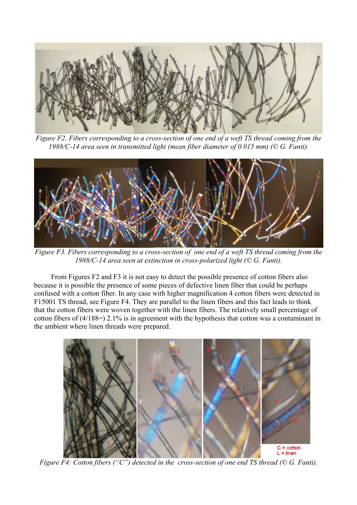

*Figure F2. Fibers corresponding to a cross-section of one end of a weft TS thread coming from the 1988/C-14 area seen in transmitted light (mean fiber diameter of 0.015 mm) (© G. Fanti).* 



*Figure F3. Fibers corresponding to a cross-section of one end of a weft TS thread coming from the 1988/C-14 area seen at extinction in cross-polarized light (© G. Fanti).* 

From Figures F2 and F3 it is not easy to detect the possible presence of cotton fibers also because it is possible the presence of some pieces of defective linen fiber that could be perhaps confused with a cotton fiber. In any case with higher magnification 4 cotton fibers were detected in F15001 TS thread, see Figure F4. They are parallel to the linen fibers and this fact leads to think that the cotton fibers were woven together with the linen fibers. The relatively small percentage of cotton fibers of (4/188=) 2.1% is in agreement with the hypothesis that cotton was a contaminant in the ambient where linen threads were prepared.



*Figure F4: Cotton fibers ("C") detected in the cross-section of one end TS thread (© G. Fanti).*